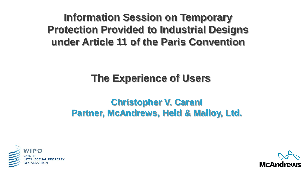### **Information Session on Temporary Protection Provided to Industrial Designs under Article 11 of the Paris Convention**

### **The Experience of Users**

### **Christopher V. Carani Partner, McAndrews, Held & Malloy, Ltd.**



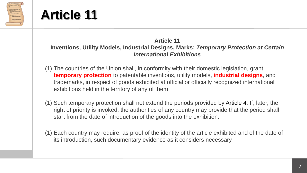

## **Article 11**

#### **Article 11 Inventions, Utility Models, Industrial Designs, Marks:** *Temporary Protection at Certain International Exhibitions*

- (1) The countries of the Union shall, in conformity with their domestic legislation, grant **temporary protection** to patentable inventions, utility models, **industrial designs**, and trademarks, in respect of goods exhibited at official or officially recognized international exhibitions held in the territory of any of them.
- (1) Such temporary protection shall not extend the periods provided by Article 4. If, later, the right of priority is invoked, the authorities of any country may provide that the period shall start from the date of introduction of the goods into the exhibition.
- (1) Each country may require, as proof of the identity of the article exhibited and of the date of its introduction, such documentary evidence as it considers necessary.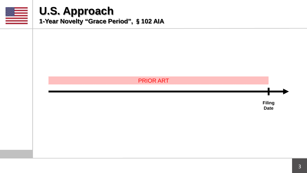

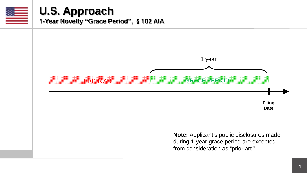

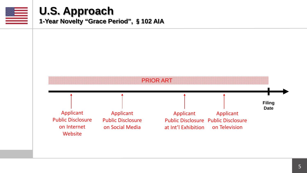

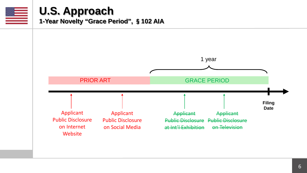

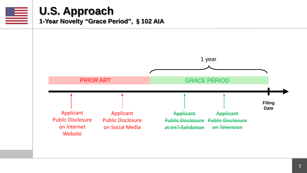

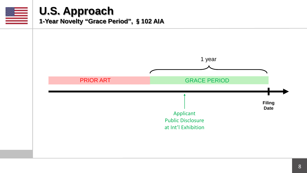

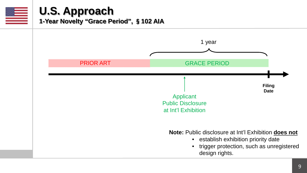

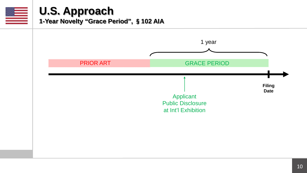

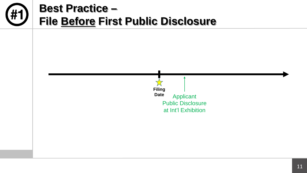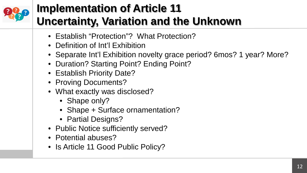

# **Implementation of Article 11 Uncertainty, Variation and the Unknown**

- Establish "Protection"? What Protection?
- Definition of Int'l Exhibition
- Separate Int'l Exhibition novelty grace period? 6mos? 1 year? More?
- Duration? Starting Point? Ending Point?
- Establish Priority Date?
- Proving Documents?
- What exactly was disclosed?
	- Shape only?
	- Shape + Surface ornamentation?
	- Partial Designs?
- Public Notice sufficiently served?
- Potential abuses?
- Is Article 11 Good Public Policy?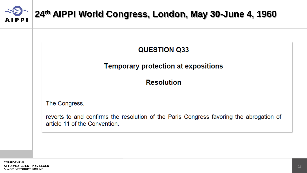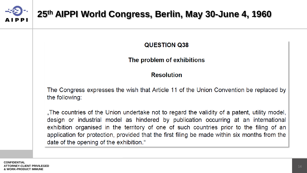

### **25th AIPPI World Congress, Berlin, May 30-June 4, 1960**

**QUESTION Q38** 

#### The problem of exhibitions

#### **Resolution**

The Congress expresses the wish that Article 11 of the Union Convention be replaced by the following:

"The countries of the Union undertake not to regard the validity of a patent, utility model, design or industrial model as hindered by publication occurring at an international exhibition organised in the territory of one of such countries prior to the filing of an application for protection, provided that the first filing be made within six months from the date of the opening of the exhibition."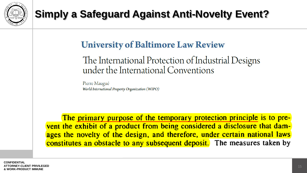

# **Simply a Safeguard Against Anti-Novelty Event?**

### **University of Baltimore Law Review**

### The International Protection of Industrial Designs under the International Conventions

Pierre Maugué World International Property Organization (WIPO)

The primary purpose of the temporary protection principle is to prevent the exhibit of a product from being considered a disclosure that damages the novelty of the design, and therefore, under certain national laws constitutes an obstacle to any subsequent deposit. The measures taken by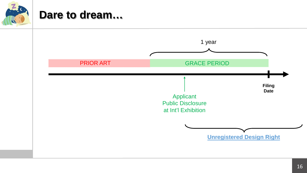

### **Dare to dream…**